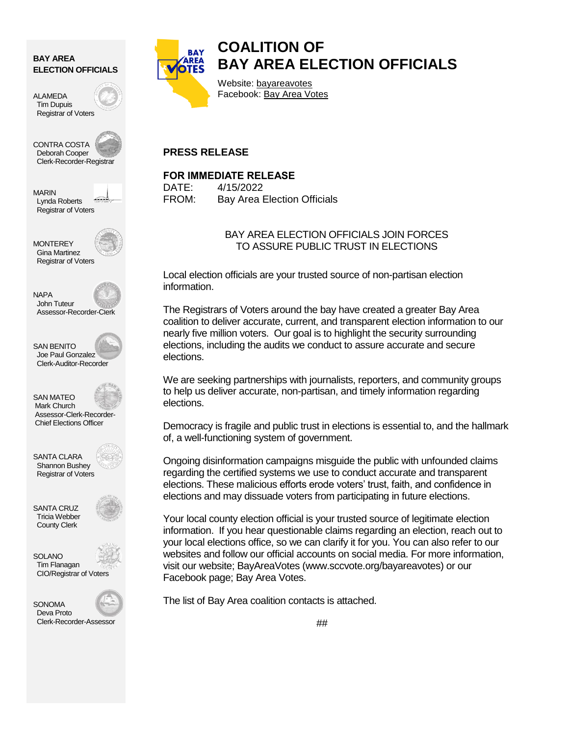#### **BAY AREA ELECTION OFFICIALS**

ALAMEDA Tim Dupuis Registrar of Voters

CONTRA COSTA Deborah Cooper Clerk-Recorder-Registrar

MARIN Lynda Roberts Registrar of Voters

**MONTEREY**  Gina Martinez Registrar of Voters



SAN BENITO Joe Paul Gonzalez Clerk-Auditor-Recorder



SANTA CLARA Shannon Bushey Registrar of Voters



SOLANO Tim Flanagan CIO/Registrar of Voters





# **COALITION OF BAY AREA ELECTION OFFICIALS**

Website: [bayareavotes](http://www.sccvote.org/bayareavotes) Facebook: [Bay Area Votes](https://www.facebook.com/BayAreaVotes/)

### **PRESS RELEASE**

#### **FOR IMMEDIATE RELEASE**

DATE: 4/15/2022 FROM: Bay Area Election Officials

#### BAY AREA ELECTION OFFICIALS JOIN FORCES TO ASSURE PUBLIC TRUST IN ELECTIONS

Local election officials are your trusted source of non-partisan election information.

The Registrars of Voters around the bay have created a greater Bay Area coalition to deliver accurate, current, and transparent election information to our nearly five million voters. Our goal is to highlight the security surrounding elections, including the audits we conduct to assure accurate and secure elections.

We are seeking partnerships with journalists, reporters, and community groups to help us deliver accurate, non-partisan, and timely information regarding elections.

Democracy is fragile and public trust in elections is essential to, and the hallmark of, a well-functioning system of government.

Ongoing disinformation campaigns misguide the public with unfounded claims regarding the certified systems we use to conduct accurate and transparent elections. These malicious efforts erode voters' trust, faith, and confidence in elections and may dissuade voters from participating in future elections.

Your local county election official is your trusted source of legitimate election information. If you hear questionable claims regarding an election, reach out to your local elections office, so we can clarify it for you. You can also refer to our websites and follow our official accounts on social media. For more information, visit our website; [BayAreaVotes](http://www.sccvote.org/bayareavotes) (www.sccvote.org/bayareavotes) or our Facebook page[; Bay Area Votes.](https://www.facebook.com/BayAreaVotes/)

The list of Bay Area coalition contacts is attached.